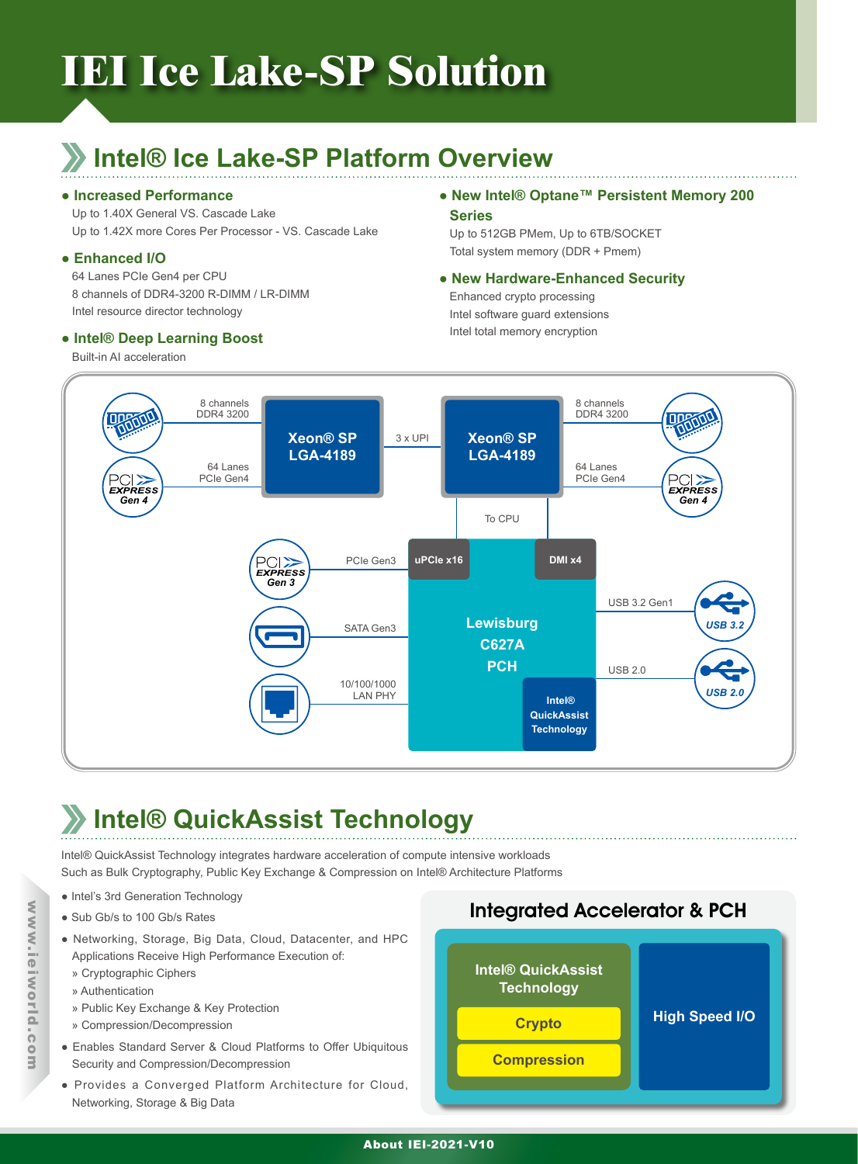# **IEI Ice Lake-SP Solution**

## **Intel® Ice Lake-SP Platform Overview**

#### **● Increased Performance**

Up to 1.40X General VS. Cascade Lake Up to 1.42X more Cores Per Processor - VS. Cascade Lake

### **● Enhanced I/O**

64 Lanes PCIe Gen4 per CPU 8 channels of DDR4-3200 R-DIMM / LR-DIMM Intel resource director technology

### **● Intel® Deep Learning Boost**

Built-in AI acceleration

### **● New Intel® Optane™ Persistent Memory 200 Series**

Up to 512GB PMem, Up to 6TB/SOCKET Total system memory (DDR + Pmem)

### **● New Hardware-Enhanced Security**

Enhanced crypto processing Intel software guard extensions Intel total memory encryption



# **Intel® QuickAssist Technology**

Intel® QuickAssist Technology integrates hardware acceleration of compute intensive workloads Such as Bulk Cryptography, Public Key Exchange & Compression on Intel® Architecture Platforms

- Intel's 3rd Generation Technology
- Sub Gb/s to 100 Gb/s Rates
- Networking, Storage, Big Data, Cloud, Datacenter, and HPC Applications Receive High Performance Execution of:
	- » Cryptographic Ciphers
	- » Authentication
	- » Public Key Exchange & Key Protection
	- » Compression/Decompression
- Enables Standard Server & Cloud Platforms to Offer Ubiquitous Security and Compression/Decompression
- Provides a Converged Platform Architecture for Cloud, Networking, Storage & Big Data



#### About IEI-2021-V10